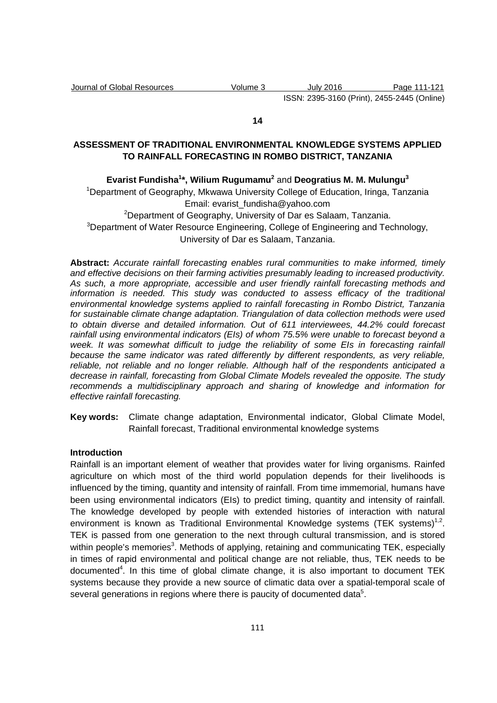#### **14**

## **ASSESSMENT OF TRADITIONAL ENVIRONMENTAL KNOWLEDGE SYSTEMS APPLIED TO RAINFALL FORECASTING IN ROMBO DISTRICT, TANZANIA**

## **Evarist Fundisha<sup>1</sup> \*, Wilium Rugumamu<sup>2</sup>** and **Deogratius M. M. Mulungu<sup>3</sup>**

<sup>1</sup>Department of Geography, Mkwawa University College of Education, Iringa, Tanzania Email: evarist\_fundisha@yahoo.com

<sup>2</sup>Department of Geography, University of Dar es Salaam, Tanzania. <sup>3</sup>Department of Water Resource Engineering, College of Engineering and Technology, University of Dar es Salaam, Tanzania.

**Abstract:** Accurate rainfall forecasting enables rural communities to make informed, timely and effective decisions on their farming activities presumably leading to increased productivity. As such, a more appropriate, accessible and user friendly rainfall forecasting methods and information is needed. This study was conducted to assess efficacy of the traditional environmental knowledge systems applied to rainfall forecasting in Rombo District, Tanzania for sustainable climate change adaptation. Triangulation of data collection methods were used to obtain diverse and detailed information. Out of 611 interviewees, 44.2% could forecast rainfall using environmental indicators (EIs) of whom 75.5% were unable to forecast beyond a week. It was somewhat difficult to judge the reliability of some EIs in forecasting rainfall because the same indicator was rated differently by different respondents, as very reliable, reliable, not reliable and no longer reliable. Although half of the respondents anticipated a decrease in rainfall, forecasting from Global Climate Models revealed the opposite. The study recommends a multidisciplinary approach and sharing of knowledge and information for effective rainfall forecasting.

**Key words:** Climate change adaptation, Environmental indicator, Global Climate Model, Rainfall forecast, Traditional environmental knowledge systems

## **Introduction**

Rainfall is an important element of weather that provides water for living organisms. Rainfed agriculture on which most of the third world population depends for their livelihoods is influenced by the timing, quantity and intensity of rainfall. From time immemorial, humans have been using environmental indicators (EIs) to predict timing, quantity and intensity of rainfall. The knowledge developed by people with extended histories of interaction with natural environment is known as Traditional Environmental Knowledge systems (TEK systems) $^{1,2}$ . TEK is passed from one generation to the next through cultural transmission, and is stored within people's memories<sup>3</sup>. Methods of applying, retaining and communicating TEK, especially in times of rapid environmental and political change are not reliable, thus, TEK needs to be documented<sup>4</sup>. In this time of global climate change, it is also important to document TEK systems because they provide a new source of climatic data over a spatial-temporal scale of several generations in regions where there is paucity of documented data<sup>5</sup>.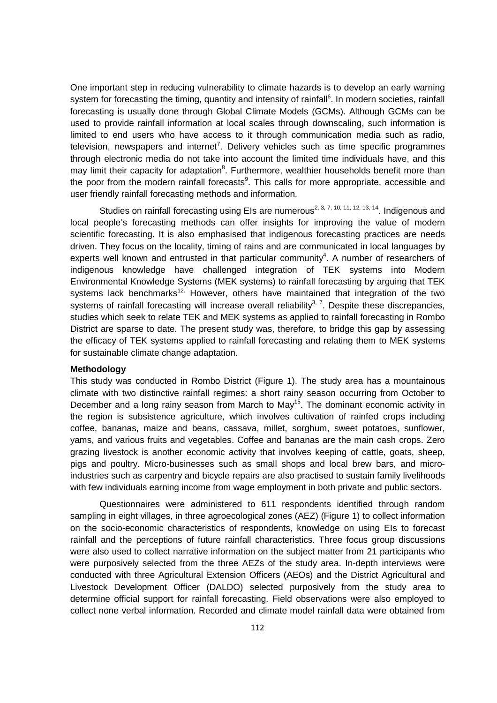One important step in reducing vulnerability to climate hazards is to develop an early warning system for forecasting the timing, quantity and intensity of rainfall<sup>6</sup>. In modern societies, rainfall forecasting is usually done through Global Climate Models (GCMs). Although GCMs can be used to provide rainfall information at local scales through downscaling, such information is limited to end users who have access to it through communication media such as radio, television, newspapers and internet<sup>7</sup>. Delivery vehicles such as time specific programmes through electronic media do not take into account the limited time individuals have, and this may limit their capacity for adaptation<sup>8</sup>. Furthermore, wealthier households benefit more than the poor from the modern rainfall forecasts<sup>9</sup>. This calls for more appropriate, accessible and user friendly rainfall forecasting methods and information.

Studies on rainfall forecasting using EIs are numerous<sup>2, 3, 7, 10, 11, 12, 13, 14</sup>. Indigenous and local people's forecasting methods can offer insights for improving the value of modern scientific forecasting. It is also emphasised that indigenous forecasting practices are needs driven. They focus on the locality, timing of rains and are communicated in local languages by experts well known and entrusted in that particular community<sup>4</sup>. A number of researchers of indigenous knowledge have challenged integration of TEK systems into Modern Environmental Knowledge Systems (MEK systems) to rainfall forecasting by arguing that TEK systems lack benchmarks<sup>12.</sup> However, others have maintained that integration of the two systems of rainfall forecasting will increase overall reliability $3$ ,  $7$ . Despite these discrepancies, studies which seek to relate TEK and MEK systems as applied to rainfall forecasting in Rombo District are sparse to date. The present study was, therefore, to bridge this gap by assessing the efficacy of TEK systems applied to rainfall forecasting and relating them to MEK systems for sustainable climate change adaptation.

#### **Methodology**

This study was conducted in Rombo District (Figure 1). The study area has a mountainous climate with two distinctive rainfall regimes: a short rainy season occurring from October to December and a long rainy season from March to May<sup>15</sup>. The dominant economic activity in the region is subsistence agriculture, which involves cultivation of rainfed crops including coffee, bananas, maize and beans, cassava, millet, sorghum, sweet potatoes, sunflower, yams, and various fruits and vegetables. Coffee and bananas are the main cash crops. Zero grazing livestock is another economic activity that involves keeping of cattle, goats, sheep, pigs and poultry. Micro-businesses such as small shops and local brew bars, and microindustries such as carpentry and bicycle repairs are also practised to sustain family livelihoods with few individuals earning income from wage employment in both private and public sectors.

Questionnaires were administered to 611 respondents identified through random sampling in eight villages, in three agroecological zones (AEZ) (Figure 1) to collect information on the socio-economic characteristics of respondents, knowledge on using EIs to forecast rainfall and the perceptions of future rainfall characteristics. Three focus group discussions were also used to collect narrative information on the subject matter from 21 participants who were purposively selected from the three AEZs of the study area. In-depth interviews were conducted with three Agricultural Extension Officers (AEOs) and the District Agricultural and Livestock Development Officer (DALDO) selected purposively from the study area to determine official support for rainfall forecasting. Field observations were also employed to collect none verbal information. Recorded and climate model rainfall data were obtained from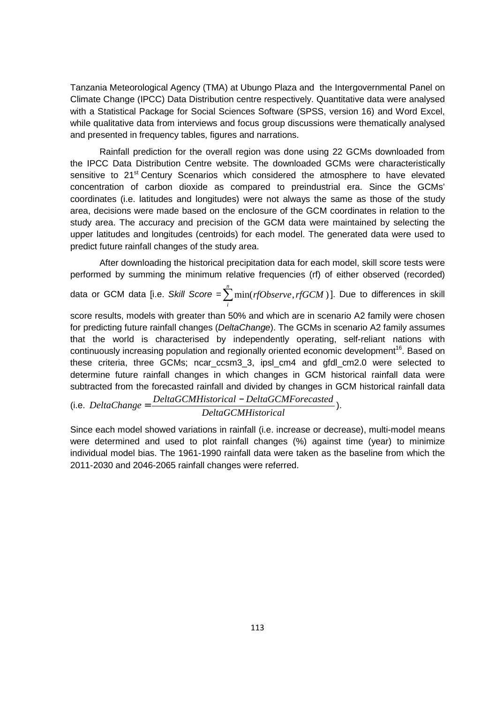Tanzania Meteorological Agency (TMA) at Ubungo Plaza and the Intergovernmental Panel on Climate Change (IPCC) Data Distribution centre respectively. Quantitative data were analysed with a Statistical Package for Social Sciences Software (SPSS, version 16) and Word Excel, while qualitative data from interviews and focus group discussions were thematically analysed and presented in frequency tables, figures and narrations.

Rainfall prediction for the overall region was done using 22 GCMs downloaded from the IPCC Data Distribution Centre website. The downloaded GCMs were characteristically sensitive to 21<sup>st</sup> Century Scenarios which considered the atmosphere to have elevated concentration of carbon dioxide as compared to preindustrial era. Since the GCMs' coordinates (i.e. latitudes and longitudes) were not always the same as those of the study area, decisions were made based on the enclosure of the GCM coordinates in relation to the study area. The accuracy and precision of the GCM data were maintained by selecting the upper latitudes and longitudes (centroids) for each model. The generated data were used to predict future rainfall changes of the study area.

After downloading the historical precipitation data for each model, skill score tests were performed by summing the minimum relative frequencies (rf) of either observed (recorded)

data or GCM data [i.e. Skill Score =∑ *n* min(*rfObserve*,*rfGCM* )]. Due to differences in skill *i*

score results, models with greater than 50% and which are in scenario A2 family were chosen for predicting future rainfall changes (DeltaChange). The GCMs in scenario A2 family assumes that the world is characterised by independently operating, self-reliant nations with continuously increasing population and regionally oriented economic development<sup>16</sup>. Based on these criteria, three GCMs; ncar\_ccsm3\_3, ipsl\_cm4 and gfdl\_cm2.0 were selected to determine future rainfall changes in which changes in GCM historical rainfall data were subtracted from the forecasted rainfall and divided by changes in GCM historical rainfall data

 $(i.e. \ DeltaChange = \frac{DeltaGCMHistorical - DeltaGCMForecasted}{D(1 - 2)(D(1 - D))}$ . *DeltaGCMHistorical*

Since each model showed variations in rainfall (i.e. increase or decrease), multi-model means were determined and used to plot rainfall changes (%) against time (year) to minimize individual model bias. The 1961-1990 rainfall data were taken as the baseline from which the 2011-2030 and 2046-2065 rainfall changes were referred.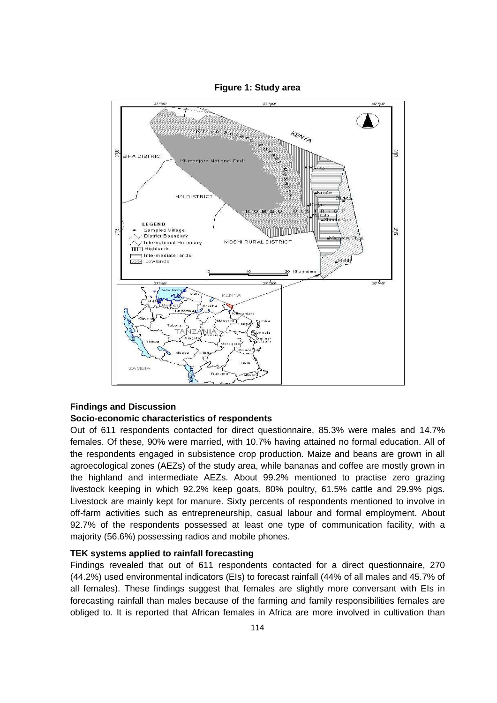

**Figure 1: Study area** 

## **Findings and Discussion**

### **Socio-economic characteristics of respondents**

Out of 611 respondents contacted for direct questionnaire, 85.3% were males and 14.7% females. Of these, 90% were married, with 10.7% having attained no formal education. All of the respondents engaged in subsistence crop production. Maize and beans are grown in all agroecological zones (AEZs) of the study area, while bananas and coffee are mostly grown in the highland and intermediate AEZs. About 99.2% mentioned to practise zero grazing livestock keeping in which 92.2% keep goats, 80% poultry, 61.5% cattle and 29.9% pigs. Livestock are mainly kept for manure. Sixty percents of respondents mentioned to involve in off-farm activities such as entrepreneurship, casual labour and formal employment. About 92.7% of the respondents possessed at least one type of communication facility, with a majority (56.6%) possessing radios and mobile phones.

## **TEK systems applied to rainfall forecasting**

Findings revealed that out of 611 respondents contacted for a direct questionnaire, 270 (44.2%) used environmental indicators (EIs) to forecast rainfall (44% of all males and 45.7% of all females). These findings suggest that females are slightly more conversant with EIs in forecasting rainfall than males because of the farming and family responsibilities females are obliged to. It is reported that African females in Africa are more involved in cultivation than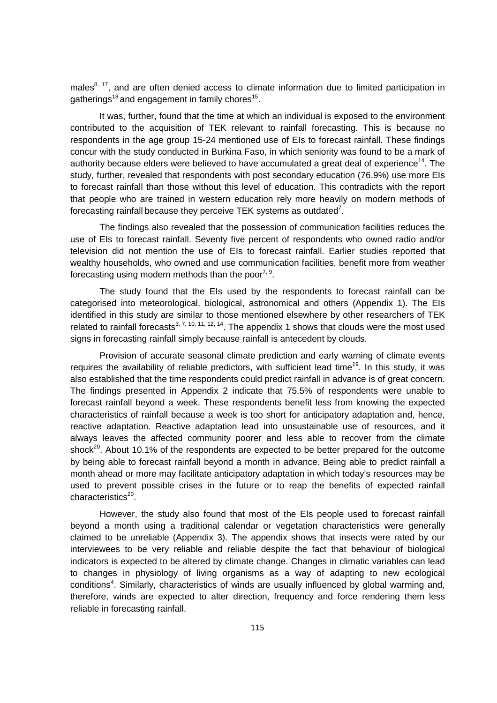males<sup>8, 17</sup>, and are often denied access to climate information due to limited participation in gatherings<sup>18</sup> and engagement in family chores<sup>15</sup>.

It was, further, found that the time at which an individual is exposed to the environment contributed to the acquisition of TEK relevant to rainfall forecasting. This is because no respondents in the age group 15-24 mentioned use of EIs to forecast rainfall. These findings concur with the study conducted in Burkina Faso, in which seniority was found to be a mark of authority because elders were believed to have accumulated a great deal of experience<sup>14</sup>. The study, further, revealed that respondents with post secondary education (76.9%) use more EIs to forecast rainfall than those without this level of education. This contradicts with the report that people who are trained in western education rely more heavily on modern methods of forecasting rainfall because they perceive TEK systems as outdated<sup>7</sup>.

The findings also revealed that the possession of communication facilities reduces the use of EIs to forecast rainfall. Seventy five percent of respondents who owned radio and/or television did not mention the use of EIs to forecast rainfall. Earlier studies reported that wealthy households, who owned and use communication facilities, benefit more from weather forecasting using modern methods than the poor<sup>7, 9</sup>.

The study found that the EIs used by the respondents to forecast rainfall can be categorised into meteorological, biological, astronomical and others (Appendix 1). The EIs identified in this study are similar to those mentioned elsewhere by other researchers of TEK related to rainfall forecasts<sup>3, 7, 10, 11, 12, 14</sup>. The appendix 1 shows that clouds were the most used signs in forecasting rainfall simply because rainfall is antecedent by clouds.

Provision of accurate seasonal climate prediction and early warning of climate events requires the availability of reliable predictors, with sufficient lead time<sup>19</sup>. In this study, it was also established that the time respondents could predict rainfall in advance is of great concern. The findings presented in Appendix 2 indicate that 75.5% of respondents were unable to forecast rainfall beyond a week. These respondents benefit less from knowing the expected characteristics of rainfall because a week is too short for anticipatory adaptation and, hence, reactive adaptation. Reactive adaptation lead into unsustainable use of resources, and it always leaves the affected community poorer and less able to recover from the climate shock<sup>20</sup>. About 10.1% of the respondents are expected to be better prepared for the outcome by being able to forecast rainfall beyond a month in advance. Being able to predict rainfall a month ahead or more may facilitate anticipatory adaptation in which today's resources may be used to prevent possible crises in the future or to reap the benefits of expected rainfall characteristics<sup>20</sup>.

However, the study also found that most of the EIs people used to forecast rainfall beyond a month using a traditional calendar or vegetation characteristics were generally claimed to be unreliable (Appendix 3). The appendix shows that insects were rated by our interviewees to be very reliable and reliable despite the fact that behaviour of biological indicators is expected to be altered by climate change. Changes in climatic variables can lead to changes in physiology of living organisms as a way of adapting to new ecological conditions<sup>4</sup>. Similarly, characteristics of winds are usually influenced by global warming and, therefore, winds are expected to alter direction, frequency and force rendering them less reliable in forecasting rainfall.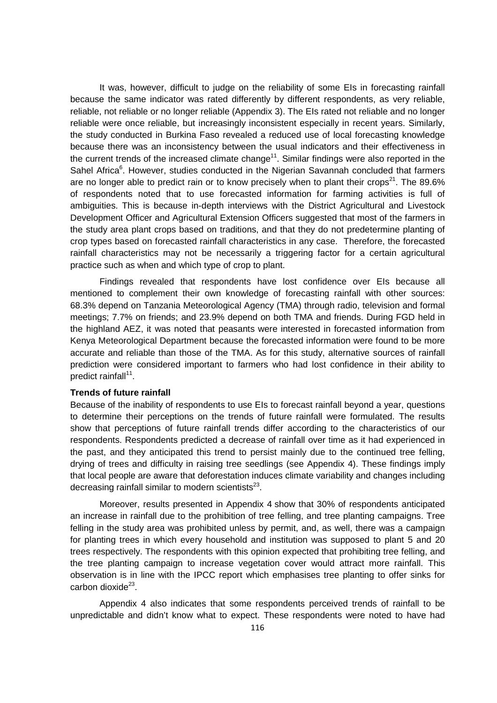It was, however, difficult to judge on the reliability of some EIs in forecasting rainfall because the same indicator was rated differently by different respondents, as very reliable, reliable, not reliable or no longer reliable (Appendix 3). The EIs rated not reliable and no longer reliable were once reliable, but increasingly inconsistent especially in recent years. Similarly, the study conducted in Burkina Faso revealed a reduced use of local forecasting knowledge because there was an inconsistency between the usual indicators and their effectiveness in the current trends of the increased climate change<sup>11</sup>. Similar findings were also reported in the Sahel Africa<sup>6</sup>. However, studies conducted in the Nigerian Savannah concluded that farmers are no longer able to predict rain or to know precisely when to plant their crops<sup>21</sup>. The 89.6% of respondents noted that to use forecasted information for farming activities is full of ambiguities. This is because in-depth interviews with the District Agricultural and Livestock Development Officer and Agricultural Extension Officers suggested that most of the farmers in the study area plant crops based on traditions, and that they do not predetermine planting of crop types based on forecasted rainfall characteristics in any case. Therefore, the forecasted rainfall characteristics may not be necessarily a triggering factor for a certain agricultural practice such as when and which type of crop to plant.

Findings revealed that respondents have lost confidence over EIs because all mentioned to complement their own knowledge of forecasting rainfall with other sources: 68.3% depend on Tanzania Meteorological Agency (TMA) through radio, television and formal meetings; 7.7% on friends; and 23.9% depend on both TMA and friends. During FGD held in the highland AEZ, it was noted that peasants were interested in forecasted information from Kenya Meteorological Department because the forecasted information were found to be more accurate and reliable than those of the TMA. As for this study, alternative sources of rainfall prediction were considered important to farmers who had lost confidence in their ability to predict rainfall<sup>11</sup>.

### **Trends of future rainfall**

Because of the inability of respondents to use EIs to forecast rainfall beyond a year, questions to determine their perceptions on the trends of future rainfall were formulated. The results show that perceptions of future rainfall trends differ according to the characteristics of our respondents. Respondents predicted a decrease of rainfall over time as it had experienced in the past, and they anticipated this trend to persist mainly due to the continued tree felling, drying of trees and difficulty in raising tree seedlings (see Appendix 4). These findings imply that local people are aware that deforestation induces climate variability and changes including decreasing rainfall similar to modern scientists $^{23}$ .

Moreover, results presented in Appendix 4 show that 30% of respondents anticipated an increase in rainfall due to the prohibition of tree felling, and tree planting campaigns. Tree felling in the study area was prohibited unless by permit, and, as well, there was a campaign for planting trees in which every household and institution was supposed to plant 5 and 20 trees respectively. The respondents with this opinion expected that prohibiting tree felling, and the tree planting campaign to increase vegetation cover would attract more rainfall. This observation is in line with the IPCC report which emphasises tree planting to offer sinks for carbon dioxide<sup>23</sup>.

Appendix 4 also indicates that some respondents perceived trends of rainfall to be unpredictable and didn't know what to expect. These respondents were noted to have had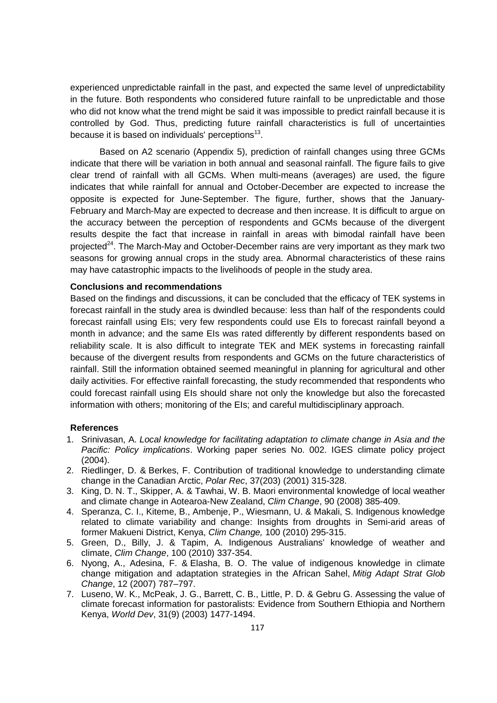experienced unpredictable rainfall in the past, and expected the same level of unpredictability in the future. Both respondents who considered future rainfall to be unpredictable and those who did not know what the trend might be said it was impossible to predict rainfall because it is controlled by God. Thus, predicting future rainfall characteristics is full of uncertainties because it is based on individuals' perceptions $^{13}$ .

Based on A2 scenario (Appendix 5), prediction of rainfall changes using three GCMs indicate that there will be variation in both annual and seasonal rainfall. The figure fails to give clear trend of rainfall with all GCMs. When multi-means (averages) are used, the figure indicates that while rainfall for annual and October-December are expected to increase the opposite is expected for June-September. The figure, further, shows that the January-February and March-May are expected to decrease and then increase. It is difficult to argue on the accuracy between the perception of respondents and GCMs because of the divergent results despite the fact that increase in rainfall in areas with bimodal rainfall have been projected<sup>24</sup>. The March-May and October-December rains are very important as they mark two seasons for growing annual crops in the study area. Abnormal characteristics of these rains may have catastrophic impacts to the livelihoods of people in the study area.

#### **Conclusions and recommendations**

Based on the findings and discussions, it can be concluded that the efficacy of TEK systems in forecast rainfall in the study area is dwindled because: less than half of the respondents could forecast rainfall using EIs; very few respondents could use EIs to forecast rainfall beyond a month in advance; and the same EIs was rated differently by different respondents based on reliability scale. It is also difficult to integrate TEK and MEK systems in forecasting rainfall because of the divergent results from respondents and GCMs on the future characteristics of rainfall. Still the information obtained seemed meaningful in planning for agricultural and other daily activities. For effective rainfall forecasting, the study recommended that respondents who could forecast rainfall using EIs should share not only the knowledge but also the forecasted information with others; monitoring of the EIs; and careful multidisciplinary approach.

#### **References**

- 1. Srinivasan, A. Local knowledge for facilitating adaptation to climate change in Asia and the Pacific: Policy implications. Working paper series No. 002. IGES climate policy project (2004).
- 2. Riedlinger, D. & Berkes, F. Contribution of traditional knowledge to understanding climate change in the Canadian Arctic, Polar Rec, 37(203) (2001) 315-328.
- 3. King, D. N. T., Skipper, A. & Tawhai, W. B. Maori environmental knowledge of local weather and climate change in Aotearoa-New Zealand, Clim Change, 90 (2008) 385-409.
- 4. Speranza, C. I., Kiteme, B., Ambenje, P., Wiesmann, U. & Makali, S. Indigenous knowledge related to climate variability and change: Insights from droughts in Semi-arid areas of former Makueni District, Kenya, Clim Change, 100 (2010) 295-315.
- 5. Green, D., Billy, J. & Tapim, A. Indigenous Australians' knowledge of weather and climate, Clim Change, 100 (2010) 337-354.
- 6. Nyong, A., Adesina, F. & Elasha, B. O. The value of indigenous knowledge in climate change mitigation and adaptation strategies in the African Sahel, Mitig Adapt Strat Glob Change, 12 (2007) 787–797.
- 7. Luseno, W. K., McPeak, J. G., Barrett, C. B., Little, P. D. & Gebru G. Assessing the value of climate forecast information for pastoralists: Evidence from Southern Ethiopia and Northern Kenya, World Dev, 31(9) (2003) 1477-1494.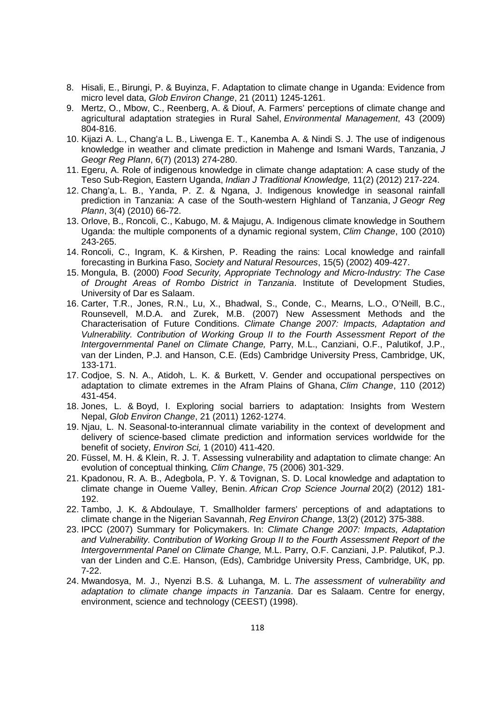- 8. Hisali, E., Birungi, P. & Buyinza, F. Adaptation to climate change in Uganda: Evidence from micro level data, Glob Environ Change, 21 (2011) 1245-1261.
- 9. Mertz, O., Mbow, C., Reenberg, A. & Diouf, A. Farmers' perceptions of climate change and agricultural adaptation strategies in Rural Sahel, Environmental Management, 43 (2009) 804-816.
- 10. Kijazi A. L., Chang'a L. B., Liwenga E. T., Kanemba A. & Nindi S. J. The use of indigenous knowledge in weather and climate prediction in Mahenge and Ismani Wards, Tanzania, J Geogr Reg Plann, 6(7) (2013) 274-280.
- 11. Egeru, A. Role of indigenous knowledge in climate change adaptation: A case study of the Teso Sub-Region, Eastern Uganda, Indian J Traditional Knowledge, 11(2) (2012) 217-224.
- 12. Chang'a, L. B., Yanda, P. Z. & Ngana, J. Indigenous knowledge in seasonal rainfall prediction in Tanzania: A case of the South-western Highland of Tanzania, J Geogr Reg Plann, 3(4) (2010) 66-72.
- 13. Orlove, B., Roncoli, C., Kabugo, M. & Majugu, A. Indigenous climate knowledge in Southern Uganda: the multiple components of a dynamic regional system, Clim Change, 100 (2010) 243-265.
- 14. Roncoli, C., Ingram, K. & Kirshen, P. Reading the rains: Local knowledge and rainfall forecasting in Burkina Faso, Society and Natural Resources, 15(5) (2002) 409-427.
- 15. Mongula, B. (2000) Food Security, Appropriate Technology and Micro-Industry: The Case of Drought Areas of Rombo District in Tanzania. Institute of Development Studies, University of Dar es Salaam.
- 16. Carter, T.R., Jones, R.N., Lu, X., Bhadwal, S., Conde, C., Mearns, L.O., O'Neill, B.C., Rounsevell, M.D.A. and Zurek, M.B. (2007) New Assessment Methods and the Characterisation of Future Conditions. Climate Change 2007: Impacts, Adaptation and Vulnerability. Contribution of Working Group II to the Fourth Assessment Report of the Intergovernmental Panel on Climate Change, Parry, M.L., Canziani, O.F., Palutikof, J.P., van der Linden, P.J. and Hanson, C.E. (Eds) Cambridge University Press, Cambridge, UK, 133-171.
- 17. Codjoe, S. N. A., Atidoh, L. K. & Burkett, V. Gender and occupational perspectives on adaptation to climate extremes in the Afram Plains of Ghana, Clim Change, 110 (2012) 431-454.
- 18. Jones, L. & Boyd, I. Exploring social barriers to adaptation: Insights from Western Nepal, Glob Environ Change, 21 (2011) 1262-1274.
- 19. Njau, L. N. Seasonal-to-interannual climate variability in the context of development and delivery of science-based climate prediction and information services worldwide for the benefit of society, Environ Sci, 1 (2010) 411-420.
- 20. Füssel, M. H. & Klein, R. J. T. Assessing vulnerability and adaptation to climate change: An evolution of conceptual thinking, Clim Change, 75 (2006) 301-329.
- 21. Kpadonou, R. A. B., Adegbola, P. Y. & Tovignan, S. D. Local knowledge and adaptation to climate change in Oueme Valley, Benin. African Crop Science Journal 20(2) (2012) 181- 192.
- 22. Tambo, J. K. & Abdoulaye, T. Smallholder farmers' perceptions of and adaptations to climate change in the Nigerian Savannah, Reg Environ Change, 13(2) (2012) 375-388.
- 23. IPCC (2007) Summary for Policymakers. In: Climate Change 2007: Impacts, Adaptation and Vulnerability. Contribution of Working Group II to the Fourth Assessment Report of the Intergovernmental Panel on Climate Change, M.L. Parry, O.F. Canziani, J.P. Palutikof, P.J. van der Linden and C.E. Hanson, (Eds), Cambridge University Press, Cambridge, UK, pp. 7-22.
- 24. Mwandosya, M. J., Nyenzi B.S. & Luhanga, M. L. The assessment of vulnerability and adaptation to climate change impacts in Tanzania. Dar es Salaam. Centre for energy, environment, science and technology (CEEST) (1998).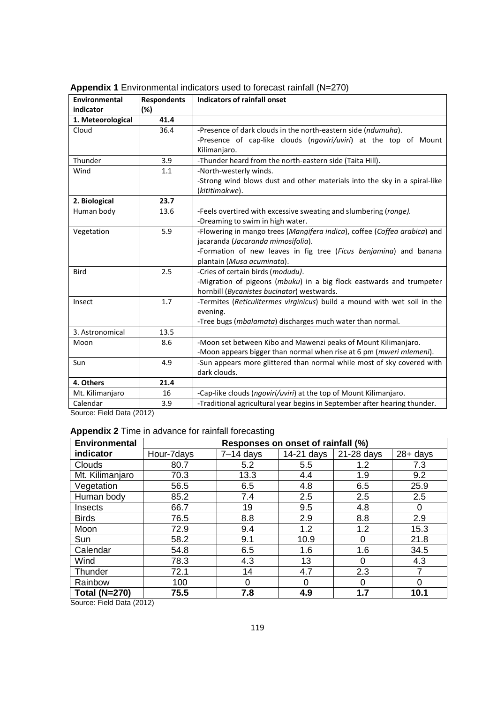| Environmental                         | <b>Respondents</b> | <b>Indicators of rainfall onset</b>                                                         |  |  |
|---------------------------------------|--------------------|---------------------------------------------------------------------------------------------|--|--|
| indicator                             | $(\%)$             |                                                                                             |  |  |
| 1. Meteorological                     | 41.4               |                                                                                             |  |  |
| Cloud                                 | 36.4               | -Presence of dark clouds in the north-eastern side (ndumuha).                               |  |  |
|                                       |                    | -Presence of cap-like clouds (ngoviri/uviri) at the top of Mount                            |  |  |
|                                       |                    | Kilimanjaro.                                                                                |  |  |
| Thunder                               | 3.9                | -Thunder heard from the north-eastern side (Taita Hill).                                    |  |  |
| Wind                                  | 1.1                | -North-westerly winds.                                                                      |  |  |
|                                       |                    | -Strong wind blows dust and other materials into the sky in a spiral-like<br>(kititimakwe). |  |  |
| 2. Biological                         | 23.7               |                                                                                             |  |  |
| Human body                            | 13.6               | -Feels overtired with excessive sweating and slumbering (ronge).                            |  |  |
|                                       |                    | -Dreaming to swim in high water.                                                            |  |  |
| Vegetation                            | 5.9                | -Flowering in mango trees (Mangifera indica), coffee (Coffea arabica) and                   |  |  |
|                                       |                    | jacaranda (Jacaranda mimosifolia).                                                          |  |  |
|                                       |                    | -Formation of new leaves in fig tree (Ficus benjamina) and banana                           |  |  |
|                                       |                    | plantain (Musa acuminata).                                                                  |  |  |
| <b>Bird</b>                           | 2.5                | -Cries of certain birds (modudu).                                                           |  |  |
|                                       |                    | -Migration of pigeons (mbuku) in a big flock eastwards and trumpeter                        |  |  |
|                                       |                    | hornbill (Bycanistes bucinator) westwards.                                                  |  |  |
| Insect                                | 1.7                | -Termites (Reticulitermes virginicus) build a mound with wet soil in the                    |  |  |
|                                       |                    | evening.                                                                                    |  |  |
|                                       |                    | -Tree bugs (mbalamata) discharges much water than normal.                                   |  |  |
| 3. Astronomical                       | 13.5               |                                                                                             |  |  |
| Moon                                  | 8.6                | -Moon set between Kibo and Mawenzi peaks of Mount Kilimanjaro.                              |  |  |
|                                       |                    | -Moon appears bigger than normal when rise at 6 pm (mweri mlemeni).                         |  |  |
| Sun                                   | 4.9                | -Sun appears more glittered than normal while most of sky covered with                      |  |  |
|                                       |                    | dark clouds.                                                                                |  |  |
| 4. Others                             | 21.4               |                                                                                             |  |  |
| Mt. Kilimanjaro                       | 16                 | -Cap-like clouds (ngoviri/uviri) at the top of Mount Kilimanjaro.                           |  |  |
| Calendar<br>Course: Field Data (0040) | 3.9                | -Traditional agricultural year begins in September after hearing thunder.                   |  |  |

**Appendix 1** Environmental indicators used to forecast rainfall (N=270)

Source: Field Data (2012)

## **Appendix 2** Time in advance for rainfall forecasting

| Environmental        | Responses on onset of rainfall (%) |             |            |            |             |  |
|----------------------|------------------------------------|-------------|------------|------------|-------------|--|
| indicator            | Hour-7days                         | $7-14$ days | 14-21 days | 21-28 days | $28 + days$ |  |
| <b>Clouds</b>        | 80.7                               | 5.2         | 5.5        | 1.2        | 7.3         |  |
| Mt. Kilimanjaro      | 70.3                               | 13.3        | 4.4        | 1.9        | 9.2         |  |
| Vegetation           | 56.5                               | 6.5         | 4.8        | 6.5        | 25.9        |  |
| Human body           | 85.2                               | 7.4         | 2.5        | 2.5        | 2.5         |  |
| Insects              | 66.7                               | 19          | 9.5        | 4.8        |             |  |
| <b>Birds</b>         | 76.5                               | 8.8         | 2.9        | 8.8        | 2.9         |  |
| Moon                 | 72.9                               | 9.4         | 1.2        | 1.2        | 15.3        |  |
| Sun                  | 58.2                               | 9.1         | 10.9       | 0          | 21.8        |  |
| Calendar             | 54.8                               | 6.5         | 1.6        | 1.6        | 34.5        |  |
| Wind                 | 78.3                               | 4.3         | 13         | $\Omega$   | 4.3         |  |
| Thunder              | 72.1                               | 14          | 4.7        | 2.3        |             |  |
| Rainbow              | 100                                | 0           | 0          | 0          |             |  |
| <b>Total (N=270)</b> | 75.5                               | 7.8         | 4.9        | 1.7        | 10.1        |  |

Source: Field Data (2012)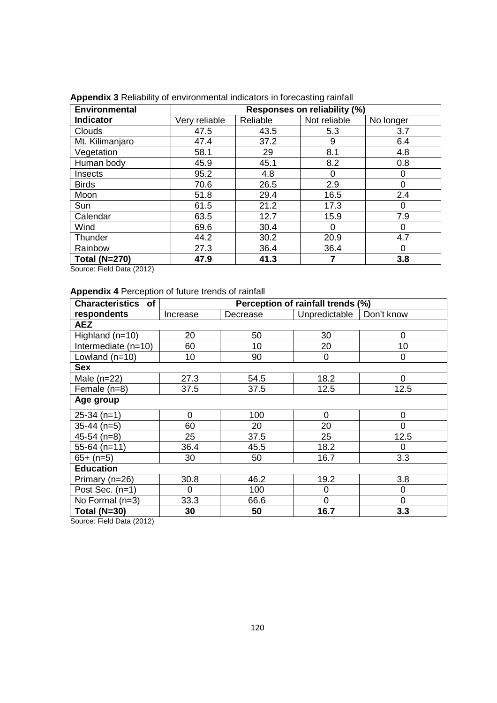| <b>Environmental</b> | Responses on reliability (%) |          |              |           |  |
|----------------------|------------------------------|----------|--------------|-----------|--|
| <b>Indicator</b>     | Very reliable                | Reliable | Not reliable | No longer |  |
| <b>Clouds</b>        | 47.5                         | 43.5     | 5.3          | 3.7       |  |
| Mt. Kilimanjaro      | 47.4                         | 37.2     | 9            | 6.4       |  |
| Vegetation           | 58.1                         | 29       | 8.1          | 4.8       |  |
| Human body           | 45.9                         | 45.1     | 8.2          | 0.8       |  |
| Insects              | 95.2                         | 4.8      | 0            | 0         |  |
| <b>Birds</b>         | 70.6                         | 26.5     | 2.9          | 0         |  |
| Moon                 | 51.8                         | 29.4     | 16.5         | 2.4       |  |
| Sun                  | 61.5                         | 21.2     | 17.3         | 0         |  |
| Calendar             | 63.5                         | 12.7     | 15.9         | 7.9       |  |
| Wind                 | 69.6                         | 30.4     | 0            | 0         |  |
| Thunder              | 44.2                         | 30.2     | 20.9         | 4.7       |  |
| Rainbow              | 27.3                         | 36.4     | 36.4         | Ω         |  |
| <b>Total (N=270)</b> | 47.9                         | 41.3     |              | 3.8       |  |

**Appendix 3** Reliability of environmental indicators in forecasting rainfall

Source: Field Data (2012)

# **Appendix 4** Perception of future trends of rainfall

| <b>Characteristics of</b> | Perception of rainfall trends (%) |          |                |                |  |  |  |
|---------------------------|-----------------------------------|----------|----------------|----------------|--|--|--|
| respondents               | Increase                          | Decrease | Unpredictable  | Don't know     |  |  |  |
| <b>AEZ</b>                |                                   |          |                |                |  |  |  |
| Highland (n=10)           | 20                                | 50       | 30             | $\mathbf 0$    |  |  |  |
| Intermediate $(n=10)$     | 60                                | 10       | 20             | 10             |  |  |  |
| Lowland $(n=10)$          | 10                                | 90       | 0              | 0              |  |  |  |
| <b>Sex</b>                |                                   |          |                |                |  |  |  |
| Male $(n=22)$             | 27.3                              | 54.5     | 18.2           | 0              |  |  |  |
| Female (n=8)              | 37.5                              | 37.5     | 12.5           | 12.5           |  |  |  |
| Age group                 |                                   |          |                |                |  |  |  |
| $25-34$ (n=1)             | 0                                 | 100      | 0              | 0              |  |  |  |
| $35-44$ (n=5)             | 60                                | 20       | 20             | $\overline{0}$ |  |  |  |
| $45-54$ (n=8)             | 25                                | 37.5     | 25             | 12.5           |  |  |  |
| $55-64$ (n=11)            | 36.4                              | 45.5     | 18.2           | $\Omega$       |  |  |  |
| $65+ (n=5)$               | 30                                | 50       | 16.7           | 3.3            |  |  |  |
| <b>Education</b>          |                                   |          |                |                |  |  |  |
| Primary (n=26)            | 30.8                              | 46.2     | 19.2           | 3.8            |  |  |  |
| Post Sec. (n=1)           | 0                                 | 100      | $\mathbf 0$    | 0              |  |  |  |
| No Formal (n=3)           | 33.3                              | 66.6     | $\overline{0}$ | $\mathbf 0$    |  |  |  |
| <b>Total (N=30)</b>       | 30                                | 50       | 16.7           | 3.3            |  |  |  |

Source: Field Data (2012)